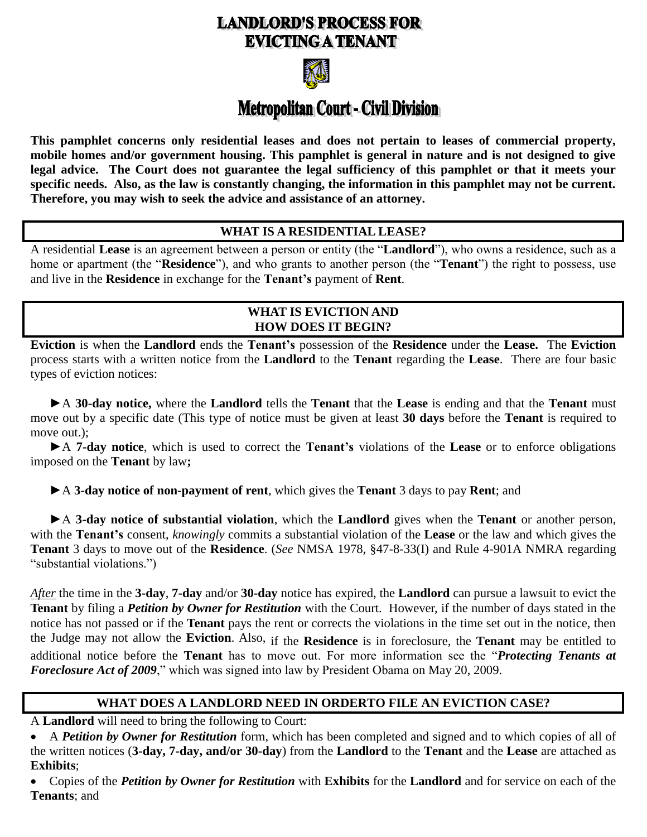# **LANDLORD'S PROCESS FOR EVICTING A TENANT**



# Metropolitan Court - Civil Division

**This pamphlet concerns only residential leases and does not pertain to leases of commercial property, mobile homes and/or government housing. This pamphlet is general in nature and is not designed to give legal advice. The Court does not guarantee the legal sufficiency of this pamphlet or that it meets your specific needs. Also, as the law is constantly changing, the information in this pamphlet may not be current. Therefore, you may wish to seek the advice and assistance of an attorney.**

#### **WHAT IS A RESIDENTIAL LEASE?**

A residential **Lease** is an agreement between a person or entity (the "**Landlord**"), who owns a residence, such as a home or apartment (the "**Residence**"), and who grants to another person (the "**Tenant**") the right to possess, use and live in the **Residence** in exchange for the **Tenant's** payment of **Rent**.

## **WHAT IS EVICTION AND HOW DOES IT BEGIN?**

**Eviction** is when the **Landlord** ends the **Tenant's** possession of the **Residence** under the **Lease.** The **Eviction** process starts with a written notice from the **Landlord** to the **Tenant** regarding the **Lease**. There are four basic types of eviction notices:

**►**A **30-day notice,** where the **Landlord** tells the **Tenant** that the **Lease** is ending and that the **Tenant** must move out by a specific date (This type of notice must be given at least **30 days** before the **Tenant** is required to move out.);

**►**A **7-day notice**, which is used to correct the **Tenant's** violations of the **Lease** or to enforce obligations imposed on the **Tenant** by law**;**

#### ►A **3-day notice of non-payment of rent**, which gives the **Tenant** 3 days to pay **Rent**; and

►A **3-day notice of substantial violation**, which the **Landlord** gives when the **Tenant** or another person, with the **Tenant's** consent, *knowingly* commits a substantial violation of the **Lease** or the law and which gives the **Tenant** 3 days to move out of the **Residence**. (*See* NMSA 1978, §47-8-33(I) and Rule 4-901A NMRA regarding "substantial violations.")

*After* the time in the **3-day**, **7-day** and/or **30-day** notice has expired, the **Landlord** can pursue a lawsuit to evict the **Tenant** by filing a *Petition by Owner for Restitution* with the Court. However, if the number of days stated in the notice has not passed or if the **Tenant** pays the rent or corrects the violations in the time set out in the notice, then the Judge may not allow the **Eviction**. Also, if the **Residence** is in foreclosure, the **Tenant** may be entitled to additional notice before the **Tenant** has to move out. For more information see the "*Protecting Tenants at Foreclosure Act of 2009*," which was signed into law by President Obama on May 20, 2009.

# **WHAT DOES A LANDLORD NEED IN ORDERTO FILE AN EVICTION CASE?**

A **Landlord** will need to bring the following to Court:

 A *Petition by Owner for Restitution* form, which has been completed and signed and to which copies of all of the written notices (**3-day, 7-day, and/or 30-day**) from the **Landlord** to the **Tenant** and the **Lease** are attached as **Exhibits**;

 Copies of the *Petition by Owner for Restitution* with **Exhibits** for the **Landlord** and for service on each of the **Tenants**; and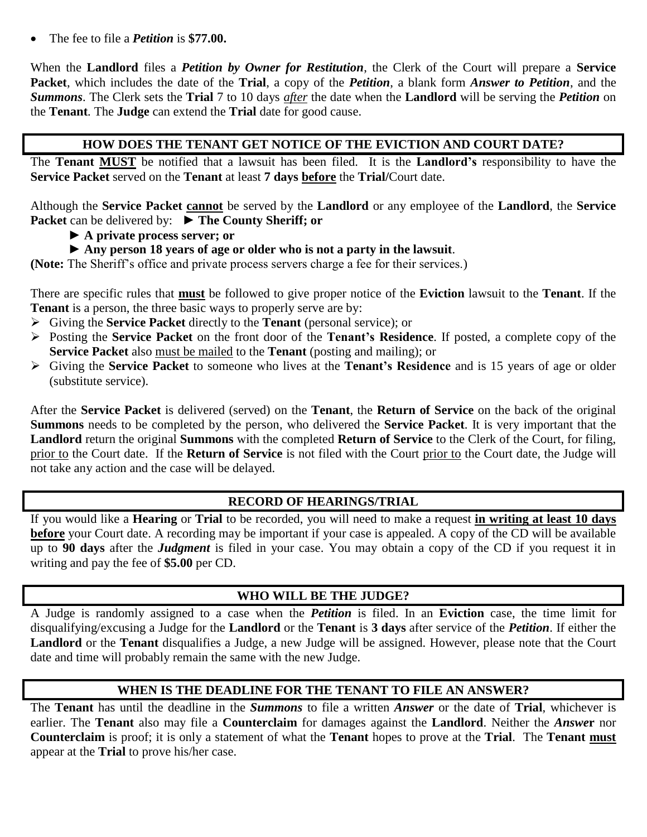The fee to file a *Petition* is **\$77.00.**

When the **Landlord** files a *Petition by Owner for Restitution*, the Clerk of the Court will prepare a **Service Packet**, which includes the date of the **Trial**, a copy of the *Petition*, a blank form *Answer to Petition*, and the *Summons*. The Clerk sets the **Trial** 7 to 10 days *after* the date when the **Landlord** will be serving the *Petition* on the **Tenant***.* The **Judge** can extend the **Trial** date for good cause.

#### **HOW DOES THE TENANT GET NOTICE OF THE EVICTION AND COURT DATE?**

The **Tenant MUST** be notified that a lawsuit has been filed. It is the **Landlord's** responsibility to have the **Service Packet** served on the **Tenant** at least **7 days before** the **Trial/**Court date.

Although the **Service Packet cannot** be served by the **Landlord** or any employee of the **Landlord**, the **Service Packet** can be delivered by: **► The County Sheriff; or**

- **► A private process server; or**
- **► Any person 18 years of age or older who is not a party in the lawsuit**.

**(Note:** The Sheriff's office and private process servers charge a fee for their services.)

There are specific rules that **must** be followed to give proper notice of the **Eviction** lawsuit to the **Tenant**. If the **Tenant** is a person, the three basic ways to properly serve are by:

- Giving the **Service Packet** directly to the **Tenant** (personal service); or
- Posting the **Service Packet** on the front door of the **Tenant's Residence**. If posted, a complete copy of the **Service Packet** also must be mailed to the **Tenant** (posting and mailing); or
- Giving the **Service Packet** to someone who lives at the **Tenant's Residence** and is 15 years of age or older (substitute service).

After the **Service Packet** is delivered (served) on the **Tenant**, the **Return of Service** on the back of the original **Summons** needs to be completed by the person, who delivered the **Service Packet**. It is very important that the **Landlord** return the original **Summons** with the completed **Return of Service** to the Clerk of the Court, for filing, prior to the Court date. If the **Return of Service** is not filed with the Court prior to the Court date, the Judge will not take any action and the case will be delayed.

#### **RECORD OF HEARINGS/TRIAL**

If you would like a **Hearing** or **Trial** to be recorded, you will need to make a request **in writing at least 10 days before** your Court date. A recording may be important if your case is appealed. A copy of the CD will be available up to **90 days** after the *Judgment* is filed in your case. You may obtain a copy of the CD if you request it in writing and pay the fee of **\$5.00** per CD.

# **WHO WILL BE THE JUDGE?**

A Judge is randomly assigned to a case when the *Petition* is filed. In an **Eviction** case, the time limit for disqualifying/excusing a Judge for the **Landlord** or the **Tenant** is **3 days** after service of the *Petition*. If either the **Landlord** or the **Tenant** disqualifies a Judge, a new Judge will be assigned. However, please note that the Court date and time will probably remain the same with the new Judge.

#### **WHEN IS THE DEADLINE FOR THE TENANT TO FILE AN ANSWER?**

The **Tenant** has until the deadline in the *Summons* to file a written *Answer* or the date of **Trial**, whichever is earlier. The **Tenant** also may file a **Counterclaim** for damages against the **Landlord**. Neither the *Answe***r** nor **Counterclaim** is proof; it is only a statement of what the **Tenant** hopes to prove at the **Trial**. The **Tenant must** appear at the **Trial** to prove his/her case.